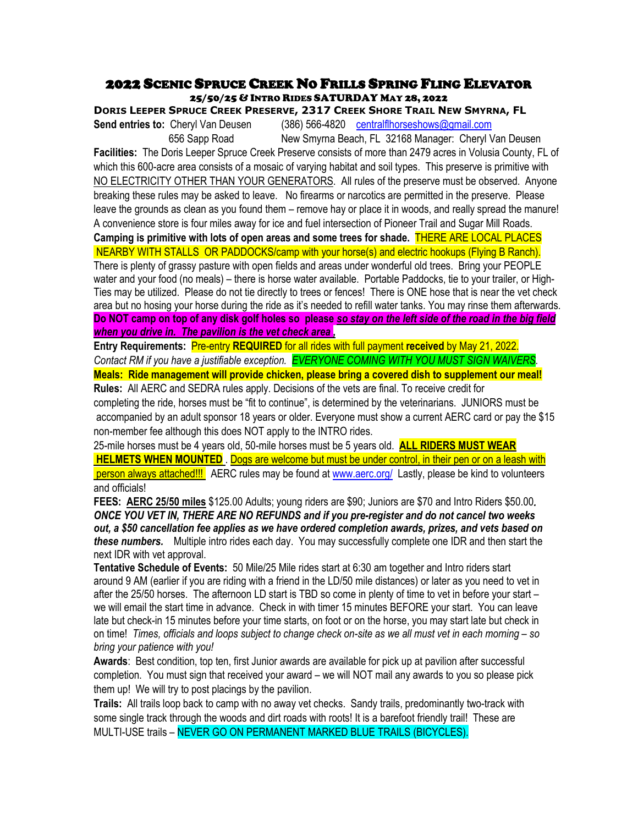## 2022 SCENIC SPRUCE CREEK NO FRILLS SPRING FLING ELEVATOR 25/50/25 & INTRO RIDES SATURDAY MAY 28, <sup>2022</sup>

**DORIS LEEPER SPRUCE CREEK PRESERVE, 2317 CREEK SHORE TRAIL NEW SMYRNA, FL Send entries to:** Cheryl Van Deusen (386) 566-4820 [centralflhorseshows@gmail.com](mailto:centralflhorseshows@gmail.com)

656 Sapp Road New Smyrna Beach, FL 32168 Manager: Cheryl Van Deusen

**Facilities:** The Doris Leeper Spruce Creek Preserve consists of more than 2479 acres in Volusia County, FL of which this 600-acre area consists of a mosaic of varying habitat and soil types. This preserve is primitive with NO ELECTRICITY OTHER THAN YOUR GENERATORS. All rules of the preserve must be observed. Anyone breaking these rules may be asked to leave. No firearms or narcotics are permitted in the preserve. Please leave the grounds as clean as you found them – remove hay or place it in woods, and really spread the manure! A convenience store is four miles away for ice and fuel intersection of Pioneer Trail and Sugar Mill Roads.

**Camping is primitive with lots of open areas and some trees for shade.** THERE ARE LOCAL PLACES NEARBY WITH STALLS OR PADDOCKS/camp with your horse(s) and electric hookups (Flying B Ranch).

There is plenty of grassy pasture with open fields and areas under wonderful old trees. Bring your PEOPLE water and your food (no meals) – there is horse water available. Portable Paddocks, tie to your trailer, or High-Ties may be utilized. Please do not tie directly to trees or fences! There is ONE hose that is near the vet check area but no hosing your horse during the ride as it's needed to refill water tanks. You may rinse them afterwards. **Do NOT camp on top of any disk golf holes so please** *so stay on the left side of the road in the big field when you drive in. The pavilion is the vet check area ,*

**Entry Requirements:** Pre-entry **REQUIRED** for all rides with full payment **received** by May 21, 2022. *Contact RM if you have a justifiable exception. EVERYONE COMING WITH YOU MUST SIGN WAIVERS.*  **Meals: Ride management will provide chicken, please bring a covered dish to supplement our meal!** 

**Rules:** All AERC and SEDRA rules apply. Decisions of the vets are final. To receive credit for completing the ride, horses must be "fit to continue", is determined by the veterinarians. JUNIORS must be accompanied by an adult sponsor 18 years or older. Everyone must show a current AERC card or pay the \$15 non-member fee although this does NOT apply to the INTRO rides.

25-mile horses must be 4 years old, 50-mile horses must be 5 years old. **ALL RIDERS MUST WEAR HELMETS WHEN MOUNTED**. Dogs are welcome but must be under control, in their pen or on a leash with person always attached!!! AERC rules may be found at [www.aerc.org/](http://www.aerc.org/) Lastly, please be kind to volunteers and officials!

**FEES: AERC 25/50 miles** \$125.00 Adults; young riders are \$90; Juniors are \$70 and Intro Riders \$50.00*. ONCE YOU VET IN, THERE ARE NO REFUNDS and if you pre-register and do not cancel two weeks out, a \$50 cancellation fee applies as we have ordered completion awards, prizes, and vets based on these numbers.* Multiple intro rides each day. You may successfully complete one IDR and then start the next IDR with vet approval.

**Tentative Schedule of Events:** 50 Mile/25 Mile rides start at 6:30 am together and Intro riders start around 9 AM (earlier if you are riding with a friend in the LD/50 mile distances) or later as you need to vet in after the 25/50 horses. The afternoon LD start is TBD so come in plenty of time to vet in before your start – we will email the start time in advance. Check in with timer 15 minutes BEFORE your start. You can leave late but check-in 15 minutes before your time starts, on foot or on the horse, you may start late but check in on time! *Times, officials and loops subject to change check on-site as we all must vet in each morning – so bring your patience with you!* 

**Awards**: Best condition, top ten, first Junior awards are available for pick up at pavilion after successful completion. You must sign that received your award – we will NOT mail any awards to you so please pick them up! We will try to post placings by the pavilion.

**Trails:** All trails loop back to camp with no away vet checks. Sandy trails, predominantly two-track with some single track through the woods and dirt roads with roots! It is a barefoot friendly trail! These are MULTI-USE trails – NEVER GO ON PERMANENT MARKED BLUE TRAILS (BICYCLES).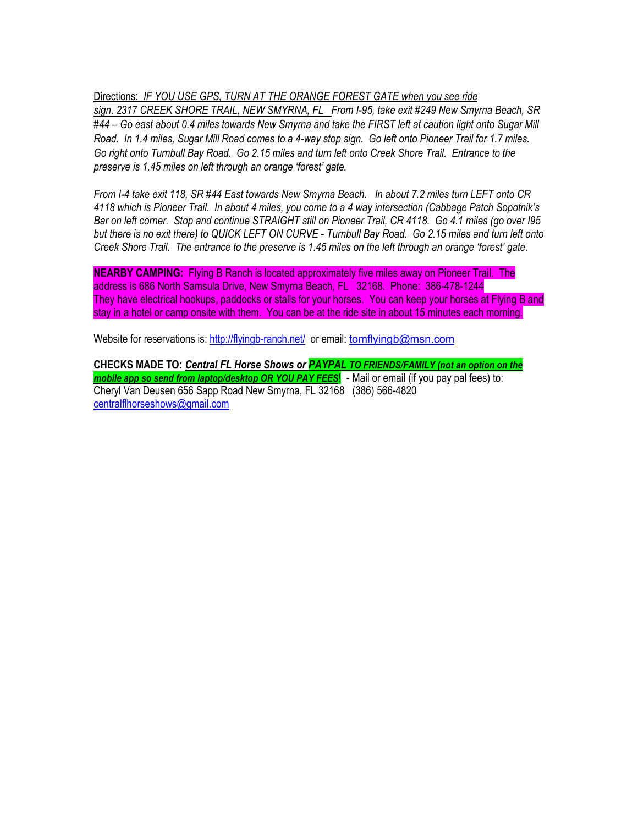Directions: *IF YOU USE GPS, TURN AT THE ORANGE FOREST GATE when you see ride sign. 2317 CREEK SHORE TRAIL, NEW SMYRNA, FL From I-95, take exit #249 New Smyrna Beach, SR #44 – Go east about 0.4 miles towards New Smyrna and take the FIRST left at caution light onto Sugar Mill Road. In 1.4 miles, Sugar Mill Road comes to a 4-way stop sign. Go left onto Pioneer Trail for 1.7 miles. Go right onto Turnbull Bay Road. Go 2.15 miles and turn left onto Creek Shore Trail. Entrance to the preserve is 1.45 miles on left through an orange 'forest' gate.* 

*From I-4 take exit 118, SR #44 East towards New Smyrna Beach. In about 7.2 miles turn LEFT onto CR 4118 which is Pioneer Trail. In about 4 miles, you come to a 4 way intersection (Cabbage Patch Sopotnik's Bar on left corner. Stop and continue STRAIGHT still on Pioneer Trail, CR 4118. Go 4.1 miles (go over I95 but there is no exit there) to QUICK LEFT ON CURVE - Turnbull Bay Road. Go 2.15 miles and turn left onto Creek Shore Trail. The entrance to the preserve is 1.45 miles on the left through an orange 'forest' gate.* 

**NEARBY CAMPING:** Flying B Ranch is located approximately five miles away on Pioneer Trail. The address is 686 North Samsula Drive, New Smyrna Beach, FL 32168. Phone: 386-478-1244 They have electrical hookups, paddocks or stalls for your horses. You can keep your horses at Flying B and stay in a hotel or camp onsite with them. You can be at the ride site in about 15 minutes each morning.

Website for reservations is: <http://flyingb-ranch.net/>or email: [tomflyingb@msn.com](mailto:tomflyingb@msn.com)

**CHECKS MADE TO:** *Central FL Horse Shows or PAYPAL TO FRIENDS/FAMILY (not an option on the mobile app so send from laptop/desktop OR YOU PAY FEES*! - Mail or email (if you pay pal fees) to: Cheryl Van Deusen 656 Sapp Road New Smyrna, FL 32168 (386) 566-4820 [centralflhorseshows@gmail.com](mailto:centralflhorseshows@gmail.com)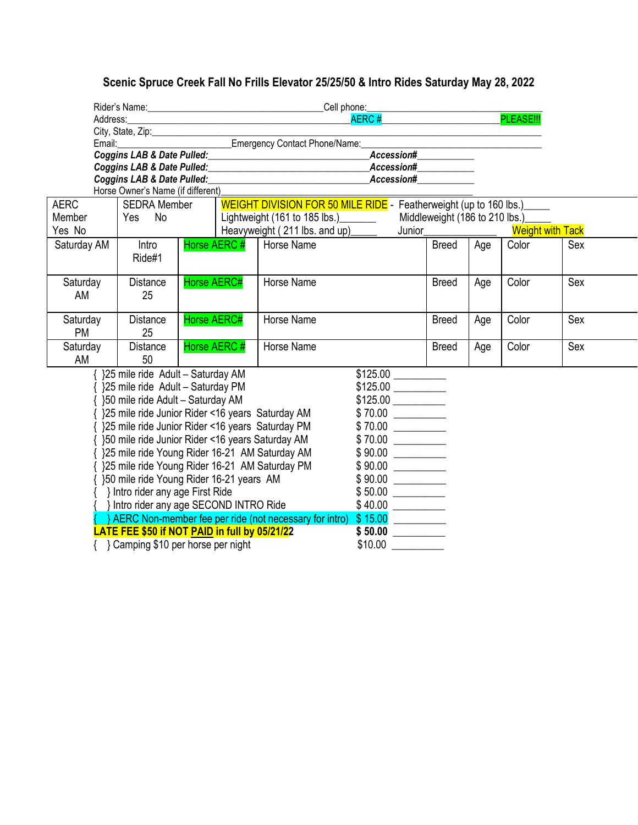## **Scenic Spruce Creek Fall No Frills Elevator 25/25/50 & Intro Rides Saturday May 28, 2022**

| Address:                                                                                           |                                     |                               |                                                                         | <u> 1989 - Johann John Stone, meilich aus der Stone († 1989)</u> |  |        |              |     | PLEASE!!!               |     |
|----------------------------------------------------------------------------------------------------|-------------------------------------|-------------------------------|-------------------------------------------------------------------------|------------------------------------------------------------------|--|--------|--------------|-----|-------------------------|-----|
|                                                                                                    |                                     | Emergency Contact Phone/Name: |                                                                         |                                                                  |  |        |              |     |                         |     |
|                                                                                                    |                                     |                               |                                                                         | Accession#                                                       |  |        |              |     |                         |     |
|                                                                                                    |                                     |                               |                                                                         |                                                                  |  |        |              |     |                         |     |
|                                                                                                    |                                     |                               | Coggins LAB & Date Pulled: Coggins LAB & Date Pulled:<br>Accession#     |                                                                  |  |        |              |     |                         |     |
| Horse Owner's Name (if different)                                                                  |                                     |                               |                                                                         |                                                                  |  |        |              |     |                         |     |
| <b>AERC</b>                                                                                        | <b>SEDRA Member</b>                 |                               | WEIGHT DIVISION FOR 50 MILE RIDE - Featherweight (up to 160 lbs.) _____ |                                                                  |  |        |              |     |                         |     |
| Member                                                                                             | Yes<br>No                           |                               | Lightweight (161 to 185 lbs.) _______<br>Middleweight (186 to 210 lbs.) |                                                                  |  |        |              |     |                         |     |
| Yes No                                                                                             |                                     |                               |                                                                         | Heavyweight (211 lbs. and up)_____                               |  | Junior |              |     | <b>Weight with Tack</b> |     |
| Saturday AM                                                                                        | Intro                               | Horse AERC #                  |                                                                         | Horse Name                                                       |  |        | Breed        | Age | Color                   | Sex |
|                                                                                                    | Ride#1                              |                               |                                                                         |                                                                  |  |        |              |     |                         |     |
| Saturday                                                                                           | Distance                            | <b>Horse AERC#</b>            |                                                                         | Horse Name                                                       |  |        | <b>Breed</b> | Age | Color                   | Sex |
| AM                                                                                                 | 25                                  |                               |                                                                         |                                                                  |  |        |              |     |                         |     |
|                                                                                                    |                                     |                               |                                                                         |                                                                  |  |        |              |     |                         |     |
| Saturday                                                                                           | Distance                            | <b>Horse AERC#</b>            |                                                                         | Horse Name                                                       |  |        | <b>Breed</b> | Age | Color                   | Sex |
| PM                                                                                                 | 25                                  |                               |                                                                         |                                                                  |  |        |              |     |                         |     |
| Saturday                                                                                           | <b>Distance</b>                     |                               | Horse AERC #                                                            | Horse Name                                                       |  |        | <b>Breed</b> | Age | Color                   | Sex |
| AM                                                                                                 | 50                                  |                               |                                                                         |                                                                  |  |        |              |     |                         |     |
|                                                                                                    | { }25 mile ride Adult - Saturday AM |                               |                                                                         |                                                                  |  |        |              |     |                         |     |
| 125 mile ride Adult - Saturday PM                                                                  |                                     |                               |                                                                         |                                                                  |  |        |              |     |                         |     |
| }50 mile ride Adult - Saturday AM                                                                  |                                     |                               |                                                                         |                                                                  |  |        |              |     |                         |     |
| }25 mile ride Junior Rider <16 years Saturday AM                                                   |                                     |                               |                                                                         |                                                                  |  |        |              |     |                         |     |
| 125 mile ride Junior Rider < 16 years Saturday PM                                                  |                                     |                               |                                                                         |                                                                  |  |        |              |     |                         |     |
| { }50 mile ride Junior Rider <16 years Saturday AM                                                 |                                     |                               |                                                                         |                                                                  |  |        |              |     |                         |     |
| { }25 mile ride Young Rider 16-21 AM Saturday AM<br>125 mile ride Young Rider 16-21 AM Saturday PM |                                     |                               |                                                                         |                                                                  |  |        |              |     |                         |     |
|                                                                                                    |                                     |                               |                                                                         |                                                                  |  |        |              |     |                         |     |
| }50 mile ride Young Rider 16-21 years AM                                                           |                                     |                               |                                                                         |                                                                  |  |        |              |     |                         |     |
| } Intro rider any age First Ride                                                                   |                                     |                               |                                                                         |                                                                  |  |        |              |     |                         |     |
| } Intro rider any age SECOND INTRO Ride                                                            |                                     |                               |                                                                         |                                                                  |  |        |              |     |                         |     |
| AERC Non-member fee per ride (not necessary for intro)<br>\$50.00                                  |                                     |                               |                                                                         |                                                                  |  |        |              |     |                         |     |
| LATE FEE \$50 if NOT PAID in full by 05/21/22<br>} Camping \$10 per horse per night                |                                     |                               |                                                                         |                                                                  |  |        |              |     |                         |     |
|                                                                                                    | \$10.00                             |                               |                                                                         |                                                                  |  |        |              |     |                         |     |